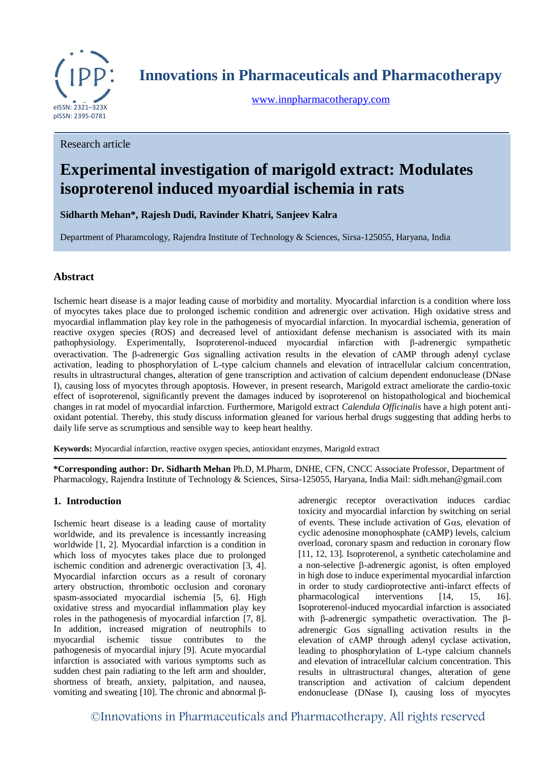

**Innovations in Pharmaceuticals and Pharmacotherapy**

[www.innpharmacotherapy.com](http://www.innpharmacotherapy.com/)

## Research article

# **Experimental investigation of marigold extract: Modulates isoproterenol induced myoardial ischemia in rats**

**Sidharth Mehan\*, Rajesh Dudi, Ravinder Khatri, Sanjeev Kalra** 

Department of Pharamcology, Rajendra Institute of Technology & Sciences, Sirsa-125055, Haryana, India

# **Abstract**

Ischemic heart disease is a major leading cause of morbidity and mortality. Myocardial infarction is a condition where loss of myocytes takes place due to prolonged ischemic condition and adrenergic over activation. High oxidative stress and myocardial inflammation play key role in the pathogenesis of myocardial infarction. In myocardial ischemia, generation of reactive oxygen species (ROS) and decreased level of antioxidant defense mechanism is associated with its main pathophysiology. Experimentally, Isoproterenol-induced myocardial infarction with β-adrenergic sympathetic overactivation. The  $\beta$ -adrenergic G $\alpha$ s signalling activation results in the elevation of cAMP through adenyl cyclase activation, leading to phosphorylation of L-type calcium channels and elevation of intracellular calcium concentration, results in ultrastructural changes, alteration of gene transcription and activation of calcium dependent endonuclease (DNase I), causing loss of myocytes through apoptosis. However, in present research, Marigold extract ameliorate the cardio-toxic effect of isoproterenol, significantly prevent the damages induced by isoproterenol on histopathological and biochemical changes in rat model of myocardial infarction. Furthermore, Marigold extract *Calendula Officinalis* have a high potent antioxidant potential. Thereby, this study discuss information gleaned for various herbal drugs suggesting that adding herbs to daily life serve as scrumptious and sensible way to keep heart healthy.

**Keywords:** Myocardial infarction, reactive oxygen species, antioxidant enzymes, Marigold extract

**\*Corresponding author: Dr. Sidharth Mehan** Ph.D, M.Pharm, DNHE, CFN, CNCC Associate Professor, Department of Pharmacology, Rajendra Institute of Technology & Sciences, Sirsa-125055, Haryana, India Mail: sidh.mehan@gmail.com

# **1. Introduction**

Ischemic heart disease is a leading cause of mortality worldwide, and its prevalence is incessantly increasing worldwide [1, 2]. Myocardial infarction is a condition in which loss of myocytes takes place due to prolonged ischemic condition and adrenergic overactivation [3, 4]. Myocardial infarction occurs as a result of coronary artery obstruction, thrombotic occlusion and coronary spasm-associated myocardial ischemia [5, 6]. High oxidative stress and myocardial inflammation play key roles in the pathogenesis of myocardial infarction [7, 8]. In addition, increased migration of neutrophils to myocardial ischemic tissue contributes to the pathogenesis of myocardial injury [9]. Acute myocardial infarction is associated with various symptoms such as sudden chest pain radiating to the left arm and shoulder, shortness of breath, anxiety, palpitation, and nausea, vomiting and sweating [10]. The chronic and abnormal βadrenergic receptor overactivation induces cardiac toxicity and myocardial infarction by switching on serial of events. These include activation of G $\alpha$ s, elevation of cyclic adenosine monophosphate (cAMP) levels, calcium overload, coronary spasm and reduction in coronary flow [11, 12, 13]. Isoproterenol, a synthetic catecholamine and a non-selective  $\beta$ -adrenergic agonist, is often employed in high dose to induce experimental myocardial infarction in order to study cardioprotective anti-infarct effects of pharmacological interventions [14, 15, 16]. Isoproterenol-induced myocardial infarction is associated with β-adrenergic sympathetic overactivation. The βadrenergic  $G\alpha s$  signalling activation results in the elevation of cAMP through adenyl cyclase activation, leading to phosphorylation of L-type calcium channels and elevation of intracellular calcium concentration. This results in ultrastructural changes, alteration of gene transcription and activation of calcium dependent endonuclease (DNase I), causing loss of myocytes

©Innovations in Pharmaceuticals and Pharmacotherapy, All rights reserved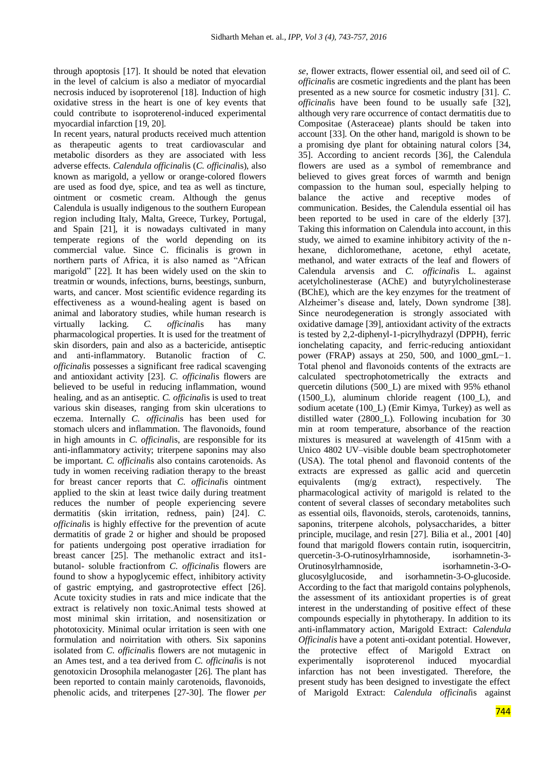through apoptosis [17]. It should be noted that elevation in the level of calcium is also a mediator of myocardial necrosis induced by isoproterenol [18]. Induction of high oxidative stress in the heart is one of key events that could contribute to isoproterenol-induced experimental myocardial infarction [19, 20].

In recent years, natural products received much attention as therapeutic agents to treat cardiovascular and metabolic disorders as they are associated with less adverse effects. *Calendula officinal*is (*C. officinal*is), also known as marigold, a yellow or orange-colored flowers are used as food dye, spice, and tea as well as tincture, ointment or cosmetic cream. Although the genus Calendula is usually indigenous to the southern European region including Italy, Malta, Greece, Turkey, Portugal, and Spain [21], it is nowadays cultivated in many temperate regions of the world depending on its commercial value. Since C. fficinalis is grown in northern parts of Africa, it is also named as "African marigold" [22]. It has been widely used on the skin to treatmin or wounds, infections, burns, beestings, sunburn, warts, and cancer. Most scientific evidence regarding its effectiveness as a wound-healing agent is based on animal and laboratory studies, while human research is virtually lacking. *C. officinal*is has many pharmacological properties. It is used for the treatment of skin disorders, pain and also as a bactericide, antiseptic and anti-inflammatory. Butanolic fraction of *C. officinal*is possesses a significant free radical scavenging and antioxidant activity [23]. *C. officinal*is flowers are believed to be useful in reducing inflammation, wound healing, and as an antiseptic. *C. officinal*is is used to treat various skin diseases, ranging from skin ulcerations to eczema. Internally *C. officinal*is has been used for stomach ulcers and inflammation. The flavonoids, found in high amounts in *C. officinal*is, are responsible for its anti-inflammatory activity; triterpene saponins may also be important. *C. officinal*is also contains carotenoids. As tudy in women receiving radiation therapy to the breast for breast cancer reports that *C. officinal*is ointment applied to the skin at least twice daily during treatment reduces the number of people experiencing severe dermatitis (skin irritation, redness, pain) [24]. *C*. *officinal*is is highly effective for the prevention of acute dermatitis of grade 2 or higher and should be proposed for patients undergoing post operative irradiation for breast cancer [25]. The methanolic extract and its1 butanol- soluble fractionfrom *C. officinal*is flowers are found to show a hypoglycemic effect, inhibitory activity of gastric emptying, and gastroprotective effect [26]. Acute toxicity studies in rats and mice indicate that the extract is relatively non toxic.Animal tests showed at most minimal skin irritation, and nosensitization or phototoxicity. Minimal ocular irritation is seen with one formulation and noirritation with others. Six saponins isolated from *C. officinal*is flowers are not mutagenic in an Ames test, and a tea derived from *C. officinal*is is not genotoxicin Drosophila melanogaster [26]. The plant has been reported to contain mainly carotenoids, flavonoids, phenolic acids, and triterpenes [27-30]. The flower *per* 

*se*, flower extracts, flower essential oil, and seed oil of *C. officinal*is are cosmetic ingredients and the plant has been presented as a new source for cosmetic industry [31]. *C. officinal*is have been found to be usually safe [32], although very rare occurrence of contact dermatitis due to Compositae (Asteraceae) plants should be taken into account [33]. On the other hand, marigold is shown to be a promising dye plant for obtaining natural colors [34, 35]. According to ancient records [36], the Calendula flowers are used as a symbol of remembrance and believed to gives great forces of warmth and benign compassion to the human soul, especially helping to balance the active and receptive modes of communication. Besides, the Calendula essential oil has been reported to be used in care of the elderly [37]. Taking this information on Calendula into account, in this study, we aimed to examine inhibitory activity of the nhexane, dichloromethane, acetone, ethyl acetate, methanol, and water extracts of the leaf and flowers of Calendula arvensis and *C. officinal*is L. against acetylcholinesterase (AChE) and butyrylcholinesterase (BChE), which are the key enzymes for the treatment of Alzheimer's disease and, lately, Down syndrome [38]. Since neurodegeneration is strongly associated with oxidative damage [39], antioxidant activity of the extracts is tested by 2,2-diphenyl-1-picrylhydrazyl (DPPH), ferric ionchelating capacity, and ferric-reducing antioxidant power (FRAP) assays at 250, 500, and 1000\_gmL−1. Total phenol and flavonoids contents of the extracts are calculated spectrophotometrically the extracts and quercetin dilutions (500\_L) are mixed with 95% ethanol (1500\_L), aluminum chloride reagent (100\_L), and sodium acetate (100\_L) (Emir Kimya, Turkey) as well as distilled water (2800\_L). Following incubation for 30 min at room temperature, absorbance of the reaction mixtures is measured at wavelength of 415nm with a Unico 4802 UV–visible double beam spectrophotometer (USA). The total phenol and flavonoid contents of the extracts are expressed as gallic acid and quercetin equivalents (mg/g extract), respectively. The pharmacological activity of marigold is related to the content of several classes of secondary metabolites such as essential oils, flavonoids, sterols, carotenoids, tannins, saponins, triterpene alcohols, polysaccharides, a bitter principle, mucilage, and resin [27]. Bilia et al., 2001 [40] found that marigold flowers contain rutin, isoquercitrin, quercetin-3-O-rutinosylrhamnoside, isorhamnetin-3- Orutinosylrhamnoside, isorhamnetin-3-Oglucosylglucoside, and isorhamnetin-3-O-glucoside. According to the fact that marigold contains polyphenols, the assessment of its antioxidant properties is of great interest in the understanding of positive effect of these compounds especially in phytotherapy. In addition to its anti-inflammatory action, Marigold Extract: *Calendula Officinalis* have a potent anti-oxidant potential. However, the protective effect of Marigold Extract on experimentally isoproterenol induced myocardial infarction has not been investigated. Therefore, the present study has been designed to investigate the effect of Marigold Extract: *Calendula officinal*is against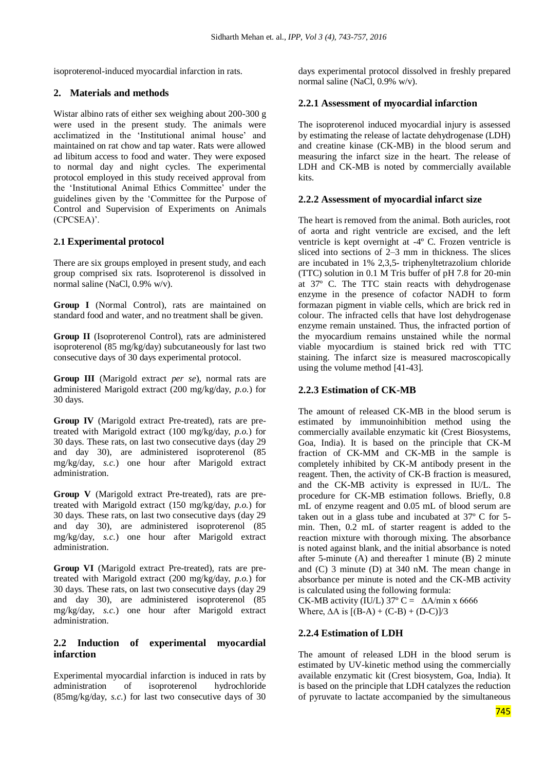isoproterenol-induced myocardial infarction in rats.

# **2. Materials and methods**

Wistar albino rats of either sex weighing about 200-300 g were used in the present study. The animals were acclimatized in the 'Institutional animal house' and maintained on rat chow and tap water. Rats were allowed ad libitum access to food and water. They were exposed to normal day and night cycles. The experimental protocol employed in this study received approval from the ‗Institutional Animal Ethics Committee' under the guidelines given by the ‗Committee for the Purpose of Control and Supervision of Experiments on Animals (CPCSEA)'.

# **2.1 Experimental protocol**

There are six groups employed in present study, and each group comprised six rats. Isoproterenol is dissolved in normal saline (NaCl, 0.9% w/v).

**Group I** (Normal Control), rats are maintained on standard food and water, and no treatment shall be given.

**Group II** (Isoproterenol Control), rats are administered isoproterenol (85 mg/kg/day) subcutaneously for last two consecutive days of 30 days experimental protocol.

**Group III** (Marigold extract *per se*), normal rats are administered Marigold extract (200 mg/kg/day, *p.o.*) for 30 days.

**Group IV** (Marigold extract Pre-treated), rats are pretreated with Marigold extract (100 mg/kg/day, *p.o.*) for 30 days. These rats, on last two consecutive days (day 29 and day 30), are administered isoproterenol (85 mg/kg/day, *s.c.*) one hour after Marigold extract administration.

**Group V** (Marigold extract Pre-treated), rats are pretreated with Marigold extract (150 mg/kg/day, *p.o.*) for 30 days. These rats, on last two consecutive days (day 29 and day 30), are administered isoproterenol (85 mg/kg/day, *s.c.*) one hour after Marigold extract administration.

**Group VI** (Marigold extract Pre-treated), rats are pretreated with Marigold extract (200 mg/kg/day, *p.o.*) for 30 days. These rats, on last two consecutive days (day 29 and day 30), are administered isoproterenol (85 mg/kg/day, *s.c.*) one hour after Marigold extract administration.

# **2.2 Induction of experimental myocardial infarction**

Experimental myocardial infarction is induced in rats by administration of isoproterenol hydrochloride (85mg/kg/day, *s.c.*) for last two consecutive days of 30

days experimental protocol dissolved in freshly prepared normal saline (NaCl, 0.9% w/v).

# **2.2.1 Assessment of myocardial infarction**

The isoproterenol induced myocardial injury is assessed by estimating the release of lactate dehydrogenase (LDH) and creatine kinase (CK-MB) in the blood serum and measuring the infarct size in the heart. The release of LDH and CK-MB is noted by commercially available kits.

# **2.2.2 Assessment of myocardial infarct size**

The heart is removed from the animal. Both auricles, root of aorta and right ventricle are excised, and the left ventricle is kept overnight at -4º C. Frozen ventricle is sliced into sections of 2–3 mm in thickness. The slices are incubated in 1% 2,3,5- triphenyltetrazolium chloride (TTC) solution in 0.1 M Tris buffer of pH 7.8 for 20-min at 37º C. The TTC stain reacts with dehydrogenase enzyme in the presence of cofactor NADH to form formazan pigment in viable cells, which are brick red in colour. The infracted cells that have lost dehydrogenase enzyme remain unstained. Thus, the infracted portion of the myocardium remains unstained while the normal viable myocardium is stained brick red with TTC staining. The infarct size is measured macroscopically using the volume method [41-43].

# **2.2.3 Estimation of CK-MB**

The amount of released CK-MB in the blood serum is estimated by immunoinhibition method using the commercially available enzymatic kit (Crest Biosystems, Goa, India). It is based on the principle that CK-M fraction of CK-MM and CK-MB in the sample is completely inhibited by CK-M antibody present in the reagent. Then, the activity of CK-B fraction is measured, and the CK-MB activity is expressed in IU/L. The procedure for CK-MB estimation follows. Briefly, 0.8 mL of enzyme reagent and 0.05 mL of blood serum are taken out in a glass tube and incubated at 37º C for 5 min. Then, 0.2 mL of starter reagent is added to the reaction mixture with thorough mixing. The absorbance is noted against blank, and the initial absorbance is noted after 5-minute (A) and thereafter 1 minute (B) 2 minute and (C) 3 minute (D) at 340 nM. The mean change in absorbance per minute is noted and the CK-MB activity is calculated using the following formula:

CK-MB activity (IU/L)  $37^{\circ}$  C =  $\Delta$ A/min x 6666 Where,  $\Delta A$  is  $[(B-A) + (C-B) + (D-C)/3]$ 

# **2.2.4 Estimation of LDH**

The amount of released LDH in the blood serum is estimated by UV-kinetic method using the commercially available enzymatic kit (Crest biosystem, Goa, India). It is based on the principle that LDH catalyzes the reduction of pyruvate to lactate accompanied by the simultaneous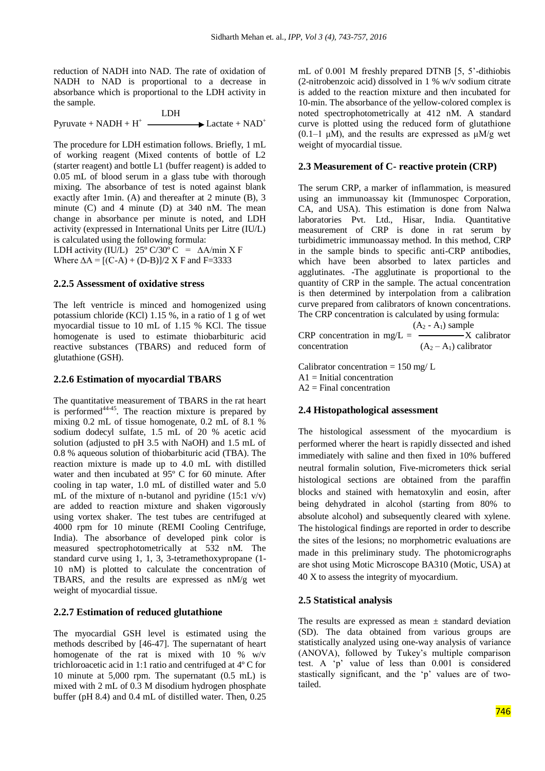reduction of NADH into NAD. The rate of oxidation of NADH to NAD is proportional to a decrease in absorbance which is proportional to the LDH activity in the sample.

$$
Pyruvate + NADH + H^{+}
$$
  $\longrightarrow$   $\longrightarrow$   $\text{Lactate} + NAD^{+}$ 

The procedure for LDH estimation follows. Briefly, 1 mL of working reagent (Mixed contents of bottle of L2 (starter reagent) and bottle L1 (buffer reagent) is added to 0.05 mL of blood serum in a glass tube with thorough mixing. The absorbance of test is noted against blank exactly after 1min. (A) and thereafter at 2 minute (B), 3 minute (C) and 4 minute (D) at 340 nM. The mean change in absorbance per minute is noted, and LDH activity (expressed in International Units per Litre (IU/L) is calculated using the following formula:

LDH activity (IU/L) 25° C/30° C =  $\triangle$ A/min X F Where  $\Delta A = [(C-A) + (D-B)]/2 \times F$  and F=3333

## **2.2.5 Assessment of oxidative stress**

The left ventricle is minced and homogenized using potassium chloride (KCl) 1.15 %, in a ratio of 1 g of wet myocardial tissue to 10 mL of 1.15 % KCl. The tissue homogenate is used to estimate thiobarbituric acid reactive substances (TBARS) and reduced form of glutathione (GSH).

## **2.2.6 Estimation of myocardial TBARS**

The quantitative measurement of TBARS in the rat heart is performed<sup>44-45</sup>. The reaction mixture is prepared by mixing 0.2 mL of tissue homogenate, 0.2 mL of 8.1 % sodium dodecyl sulfate, 1.5 mL of 20 % acetic acid solution (adjusted to pH 3.5 with NaOH) and 1.5 mL of 0.8 % aqueous solution of thiobarbituric acid (TBA). The reaction mixture is made up to 4.0 mL with distilled water and then incubated at 95º C for 60 minute. After cooling in tap water, 1.0 mL of distilled water and 5.0 mL of the mixture of n-butanol and pyridine  $(15:1 \text{ v/v})$ are added to reaction mixture and shaken vigorously using vortex shaker. The test tubes are centrifuged at 4000 rpm for 10 minute (REMI Cooling Centrifuge, India). The absorbance of developed pink color is measured spectrophotometrically at 532 nM. The standard curve using 1, 1, 3, 3-tetramethoxypropane (1- 10 nM) is plotted to calculate the concentration of TBARS, and the results are expressed as nM/g wet weight of myocardial tissue.

## **2.2.7 Estimation of reduced glutathione**

The myocardial GSH level is estimated using the methods described by [46-47]. The supernatant of heart homogenate of the rat is mixed with 10 % w/v trichloroacetic acid in 1:1 ratio and centrifuged at 4º C for 10 minute at 5,000 rpm. The supernatant (0.5 mL) is mixed with 2 mL of 0.3 M disodium hydrogen phosphate buffer (pH 8.4) and 0.4 mL of distilled water. Then, 0.25

mL of 0.001 M freshly prepared DTNB [5, 5'-dithiobis (2-nitrobenzoic acid) dissolved in 1 % w/v sodium citrate is added to the reaction mixture and then incubated for 10-min. The absorbance of the yellow-colored complex is noted spectrophotometrically at 412 nM. A standard curve is plotted using the reduced form of glutathione  $(0.1-1 \mu M)$ , and the results are expressed as  $\mu M/g$  wet weight of myocardial tissue.

## **2.3 Measurement of C- reactive protein (CRP)**

The serum CRP, a marker of inflammation, is measured using an immunoassay kit (Immunospec Corporation, CA, and USA). This estimation is done from Nalwa laboratories Pvt. Ltd., Hisar, India. Quantitative measurement of CRP is done in rat serum by turbidimetric immunoassay method. In this method, CRP in the sample binds to specific anti-CRP antibodies, which have been absorbed to latex particles and agglutinates. -The agglutinate is proportional to the quantity of CRP in the sample. The actual concentration is then determined by interpolation from a calibration curve prepared from calibrators of known concentrations. The CRP concentration is calculated by using formula:

 $(A_2 - A_1)$  sample CRP concentration in mg/L =  $\rightarrow$  X calibrator concentration  $(A_2 - A_1)$  calibrator

Calibrator concentration  $= 150$  mg/ L  $A1 =$ Initial concentration  $A2 =$ Final concentration

## **2.4 Histopathological assessment**

The histological assessment of the myocardium is performed wherer the heart is rapidly dissected and ished immediately with saline and then fixed in 10% buffered neutral formalin solution, Five-micrometers thick serial histological sections are obtained from the paraffin blocks and stained with hematoxylin and eosin, after being dehydrated in alcohol (starting from 80% to absolute alcohol) and subsequently cleared with xylene. The histological findings are reported in order to describe the sites of the lesions; no morphometric evaluations are made in this preliminary study. The photomicrographs are shot using Motic Microscope BA310 (Motic, USA) at 40 X to assess the integrity of myocardium.

# **2.5 Statistical analysis**

The results are expressed as mean  $\pm$  standard deviation (SD). The data obtained from various groups are statistically analyzed using one-way analysis of variance (ANOVA), followed by Tukey's multiple comparison test. A ‗p' value of less than 0.001 is considered stastically significant, and the 'p' values are of twotailed.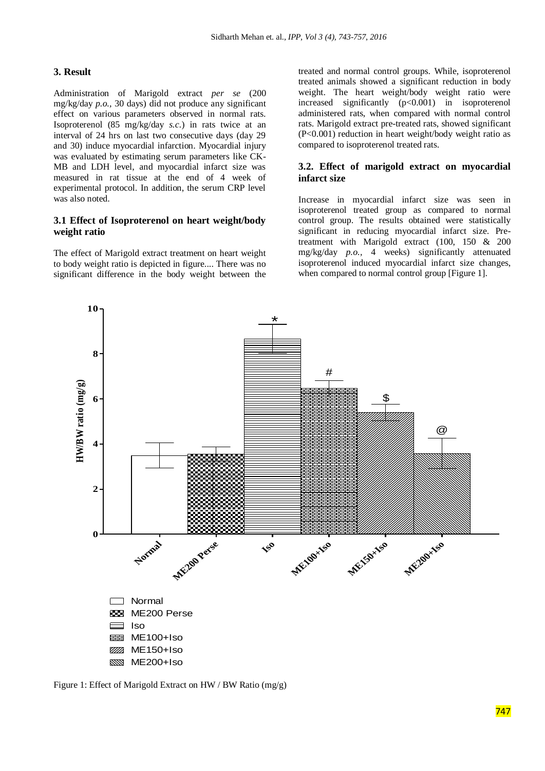#### **3. Result**

Administration of Marigold extract *per se* (200 mg/kg/day *p.o.,* 30 days) did not produce any significant effect on various parameters observed in normal rats. Isoproterenol (85 mg/kg/day *s.c.*) in rats twice at an interval of 24 hrs on last two consecutive days (day 29 and 30) induce myocardial infarction. Myocardial injury was evaluated by estimating serum parameters like CK-MB and LDH level, and myocardial infarct size was measured in rat tissue at the end of 4 week of experimental protocol. In addition, the serum CRP level was also noted.

## **3.1 Effect of Isoproterenol on heart weight/body weight ratio**

The effect of Marigold extract treatment on heart weight to body weight ratio is depicted in figure.... There was no significant difference in the body weight between the treated and normal control groups. While, isoproterenol treated animals showed a significant reduction in body weight. The heart weight/body weight ratio were increased significantly (p<0.001) in isoproterenol administered rats, when compared with normal control rats. Marigold extract pre-treated rats, showed significant (P<0.001) reduction in heart weight/body weight ratio as compared to isoproterenol treated rats.

## **3.2. Effect of marigold extract on myocardial infarct size**

Increase in myocardial infarct size was seen in isoproterenol treated group as compared to normal control group. The results obtained were statistically significant in reducing myocardial infarct size. Pretreatment with Marigold extract (100, 150 & 200 mg/kg/day *p.o.,* 4 weeks) significantly attenuated isoproterenol induced myocardial infarct size changes, when compared to normal control group [Figure 1].



Figure 1: Effect of Marigold Extract on HW / BW Ratio (mg/g)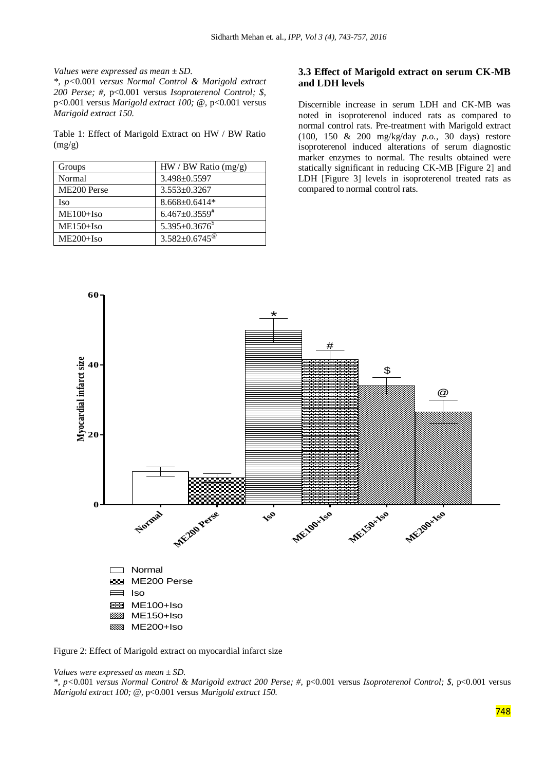*Values were expressed as mean ± SD.* 

*\*, p<*0.001 *versus Normal Control & Marigold extract 200 Perse; #,* p<0.001 versus *Isoproterenol Control; \$,*  p<0.001 versus *Marigold extract 100; @,* p<0.001 versus *Marigold extract 150.*

Table 1: Effect of Marigold Extract on HW / BW Ratio (mg/g)

| Groups                  | $HW / BW$ Ratio (mg/g)           |
|-------------------------|----------------------------------|
| Normal                  | $3.498 \pm 0.5597$               |
| ME <sub>200</sub> Perse | $3.553 \pm 0.3267$               |
| Iso                     | $8.668 \pm 0.6414*$              |
| $ME100+Iso$             | $6.467 \pm 0.3559^*$             |
| ME150+Iso               | $5.395 \pm 0.3676$ <sup>\$</sup> |
| $ME200+Iso$             | $3.582 \pm 0.6745^{\circ}$       |

### **3.3 Effect of Marigold extract on serum CK-MB and LDH levels**

Discernible increase in serum LDH and CK-MB was noted in isoproterenol induced rats as compared to normal control rats. Pre-treatment with Marigold extract (100, 150 & 200 mg/kg/day *p.o.,* 30 days) restore isoproterenol induced alterations of serum diagnostic marker enzymes to normal. The results obtained were statically significant in reducing CK-MB [Figure 2] and LDH [Figure 3] levels in isoproterenol treated rats as compared to normal control rats.



Figure 2: Effect of Marigold extract on myocardial infarct size



*\*, p<*0.001 *versus Normal Control & Marigold extract 200 Perse; #,* p<0.001 versus *Isoproterenol Control; \$,* p<0.001 versus *Marigold extract 100; @,* p<0.001 versus *Marigold extract 150.*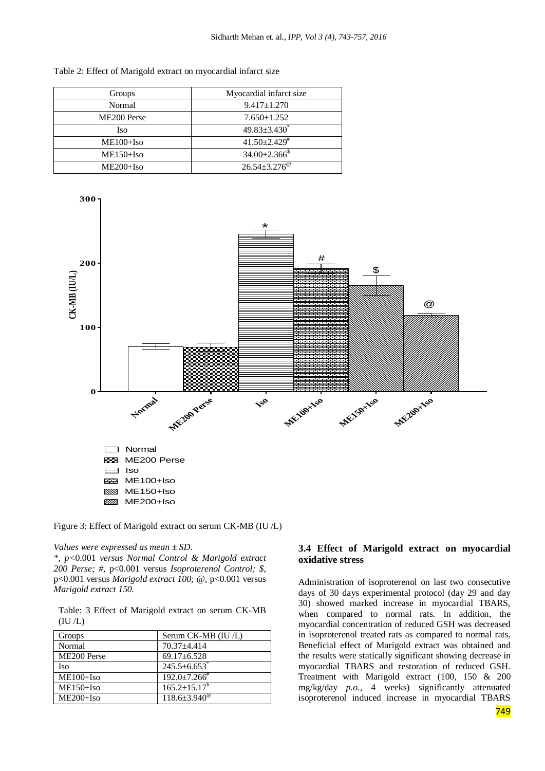| Groups                  | Myocardial infarct size         |
|-------------------------|---------------------------------|
| Normal                  | $9.417 \pm 1.270$               |
| ME <sub>200</sub> Perse | $7.650 \pm 1.252$               |
| Iso.                    | $49.83 \pm 3.430^*$             |
| $ME100+Iso$             | $41.50 \pm 2.429$               |
| $ME150 + Iso$           | $34.00 \pm 2.366$ <sup>\$</sup> |
| $ME200+Iso$             | $26.54 \pm 3.276^{\circ}$       |

Table 2: Effect of Marigold extract on myocardial infarct size



Figure 3: Effect of Marigold extract on serum CK-MB (IU /L)

### *Values were expressed as mean ± SD.*

*\*, p<*0.001 *versus Normal Control & Marigold extract 200 Perse; #,* p<0.001 versus *Isoproterenol Control; \$,*  p<0.001 versus *Marigold extract 100; @,* p<0.001 versus *Marigold extract 150.*

Table: 3 Effect of Marigold extract on serum CK-MB  $(IU/L)$ 

| Groups        | Serum CK-MB (IU/L)             |
|---------------|--------------------------------|
| Normal        | $70.37 + 4.414$                |
| ME200 Perse   | $69.17 \pm 6.528$              |
| Iso           | $245.5 \pm 6.653$ <sup>*</sup> |
| $ME100+Iso$   | $192.0 \pm 7.266$ <sup>#</sup> |
| $ME150 + Iso$ | $165.2 \pm 15.17^8$            |
| $ME200+Iso$   | $118.6 \pm 3.940^{\circ}$      |

# **3.4 Effect of Marigold extract on myocardial oxidative stress**

Administration of isoproterenol on last two consecutive days of 30 days experimental protocol (day 29 and day 30) showed marked increase in myocardial TBARS, when compared to normal rats. In addition, the myocardial concentration of reduced GSH was decreased in isoproterenol treated rats as compared to normal rats. Beneficial effect of Marigold extract was obtained and the results were statically significant showing decrease in myocardial TBARS and restoration of reduced GSH. Treatment with Marigold extract (100, 150 & 200 mg/kg/day *p.o.,* 4 weeks) significantly attenuated isoproterenol induced increase in myocardial TBARS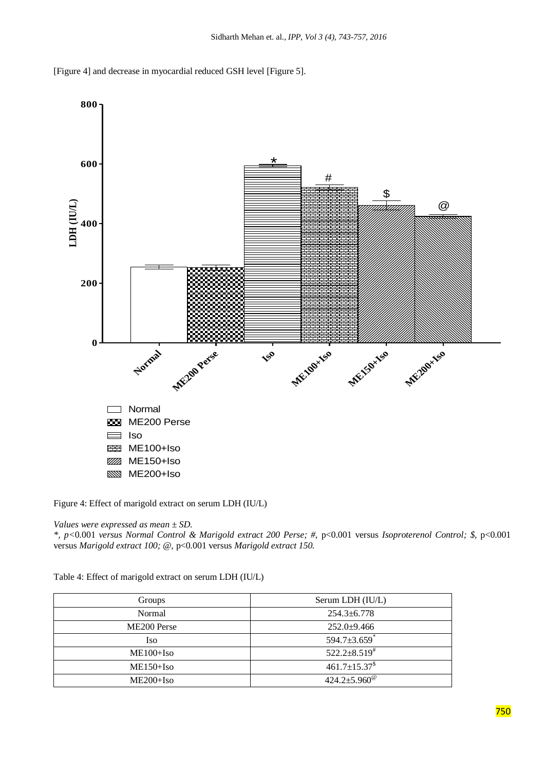



Figure 4: Effect of marigold extract on serum LDH (IU/L)

*Values were expressed as mean ± SD.* 

*\*, p<*0.001 *versus Normal Control & Marigold extract 200 Perse; #,* p<0.001 versus *Isoproterenol Control; \$,* p<0.001 versus *Marigold extract 100; @,* p<0.001 versus *Marigold extract 150.*

| Table 4: Effect of marigold extract on serum LDH (IU/L) |  |
|---------------------------------------------------------|--|
|---------------------------------------------------------|--|

| Groups                  | Serum LDH (IU/L)               |
|-------------------------|--------------------------------|
| Normal                  | $254.3 \pm 6.778$              |
| ME <sub>200</sub> Perse | $252.0+9.466$                  |
| Iso                     | $594.7 \pm 3.659$ <sup>*</sup> |
| $ME100+Iso$             | $522.2 \pm 8.519^{\text{*}}$   |
| $ME150 + Iso$           | $461.7 \pm 15.37^{\$}$         |
| $ME200+Iso$             | $424.2 \pm 5.960^{\circ\circ}$ |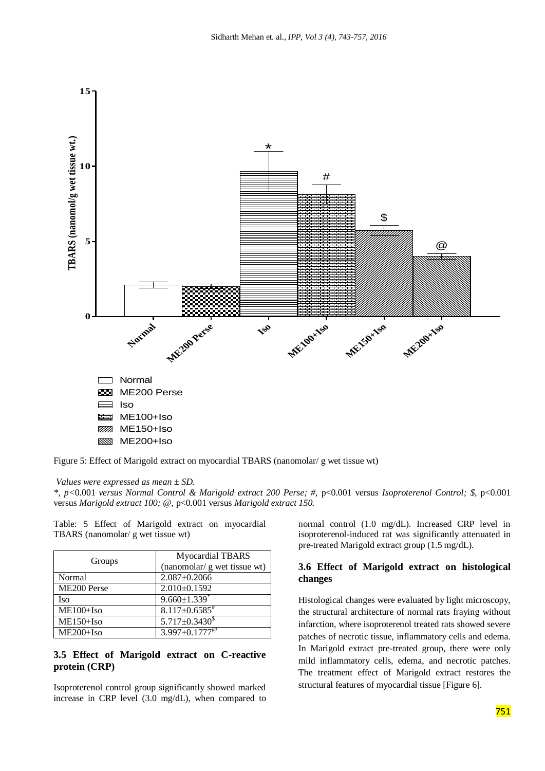

Figure 5: Effect of Marigold extract on myocardial TBARS (nanomolar/ g wet tissue wt)

#### *Values were expressed as mean ± SD.*

*\*, p<*0.001 *versus Normal Control & Marigold extract 200 Perse; #,* p<0.001 versus *Isoproterenol Control; \$,* p<0.001 versus *Marigold extract 100; @,* p<0.001 versus *Marigold extract 150.*

Table: 5 Effect of Marigold extract on myocardial TBARS (nanomolar/ g wet tissue wt)

| Groups      | Myocardial TBARS               |
|-------------|--------------------------------|
|             | (nanomolar/ g wet tissue wt)   |
| Normal      | $2.087 \pm 0.2066$             |
| ME200 Perse | $2.010\pm0.1592$               |
| Iso         | $9.660 \pm 1.339$ <sup>*</sup> |
| $ME100+Iso$ | $8.117\pm0.6585$ <sup>#</sup>  |
| $ME150+Iso$ | $5.717 \pm 0.3430^8$           |
| ME200+Iso   | $3.997 \pm 0.1777^{\circ}$     |

## **3.5 Effect of Marigold extract on C-reactive protein (CRP)**

Isoproterenol control group significantly showed marked increase in CRP level (3.0 mg/dL), when compared to normal control (1.0 mg/dL). Increased CRP level in isoproterenol-induced rat was significantly attenuated in pre-treated Marigold extract group (1.5 mg/dL).

## **3.6 Effect of Marigold extract on histological changes**

Histological changes were evaluated by light microscopy, the structural architecture of normal rats fraying without infarction, where isoproterenol treated rats showed severe patches of necrotic tissue, inflammatory cells and edema. In Marigold extract pre-treated group, there were only mild inflammatory cells, edema, and necrotic patches. The treatment effect of Marigold extract restores the structural features of myocardial tissue [Figure 6].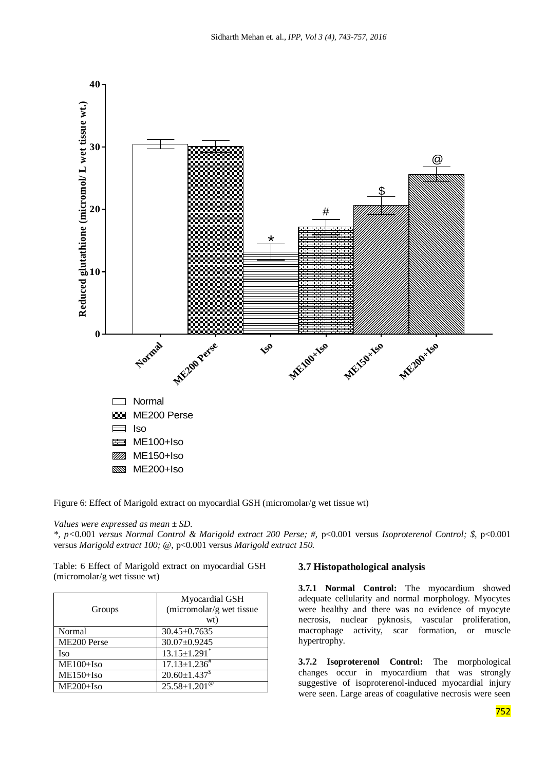

Figure 6: Effect of Marigold extract on myocardial GSH (micromolar/g wet tissue wt)

*Values were expressed as mean ± SD.* 

*\*, p<*0.001 *versus Normal Control & Marigold extract 200 Perse; #,* p<0.001 versus *Isoproterenol Control; \$,* p<0.001 versus *Marigold extract 100; @,* p<0.001 versus *Marigold extract 150.*

Table: 6 Effect of Marigold extract on myocardial GSH (micromolar/g wet tissue wt)

| Groups      | Myocardial GSH<br>(micromolar/g wet tissue<br>wt) |
|-------------|---------------------------------------------------|
| Normal      | $30.45 \pm 0.7635$                                |
| ME200 Perse | 30.07±0.9245                                      |
| Iso         | $13.15 \pm 1.291$ <sup>*</sup>                    |
| $ME100+Iso$ | $17.13 \pm 1.236^{\#}$                            |
| ME150+Iso   | $20.60 \pm 1.437$ <sup>\$</sup>                   |
| ME200+Iso   | $25.58 \pm 1.201^{\circ}$                         |

# **3.7 Histopathological analysis**

**3.7.1 Normal Control:** The myocardium showed adequate cellularity and normal morphology. Myocytes were healthy and there was no evidence of myocyte necrosis, nuclear pyknosis, vascular proliferation, macrophage activity, scar formation, or muscle hypertrophy.

**3.7.2 Isoproterenol Control:** The morphological changes occur in myocardium that was strongly suggestive of isoproterenol-induced myocardial injury were seen. Large areas of coagulative necrosis were seen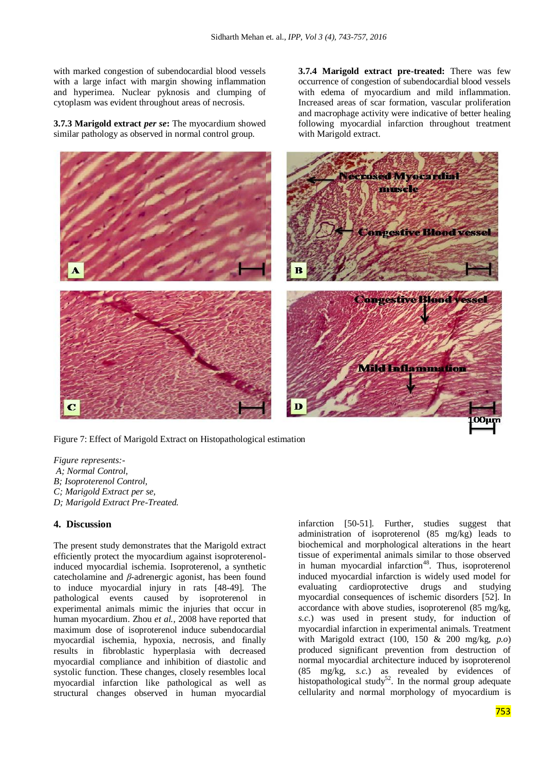with marked congestion of subendocardial blood vessels with a large infact with margin showing inflammation and hyperimea. Nuclear pyknosis and clumping of cytoplasm was evident throughout areas of necrosis.

**3.7.3 Marigold extract** *per se***:** The myocardium showed similar pathology as observed in normal control group.

**3.7.4 Marigold extract pre-treated:** There was few occurrence of congestion of subendocardial blood vessels with edema of myocardium and mild inflammation. Increased areas of scar formation, vascular proliferation and macrophage activity were indicative of better healing following myocardial infarction throughout treatment with Marigold extract.



Figure 7: Effect of Marigold Extract on Histopathological estimation

*Figure represents:- A; Normal Control, B; Isoproterenol Control, C; Marigold Extract per se, D; Marigold Extract Pre-Treated.*

## **4. Discussion**

The present study demonstrates that the Marigold extract efficiently protect the myocardium against isoproterenolinduced myocardial ischemia. Isoproterenol, a synthetic catecholamine and *β*-adrenergic agonist, has been found to induce myocardial injury in rats [48-49]. The pathological events caused by isoproterenol in experimental animals mimic the injuries that occur in human myocardium. Zhou *et al.,* 2008 have reported that maximum dose of isoproterenol induce subendocardial myocardial ischemia, hypoxia, necrosis, and finally results in fibroblastic hyperplasia with decreased myocardial compliance and inhibition of diastolic and systolic function. These changes, closely resembles local myocardial infarction like pathological as well as structural changes observed in human myocardial

infarction [50-51]. Further, studies suggest that administration of isoproterenol (85 mg/kg) leads to biochemical and morphological alterations in the heart tissue of experimental animals similar to those observed in human myocardial infarction<sup>48</sup>. Thus, isoproterenol induced myocardial infarction is widely used model for evaluating cardioprotective drugs and studying myocardial consequences of ischemic disorders [52]. In accordance with above studies, isoproterenol (85 mg/kg, *s.c.*) was used in present study, for induction of myocardial infarction in experimental animals. Treatment with Marigold extract (100, 150 & 200 mg/kg, *p.o*) produced significant prevention from destruction of normal myocardial architecture induced by isoproterenol (85 mg/kg, *s.c.*) as revealed by evidences of histopathological study<sup>52</sup>. In the normal group adequate cellularity and normal morphology of myocardium is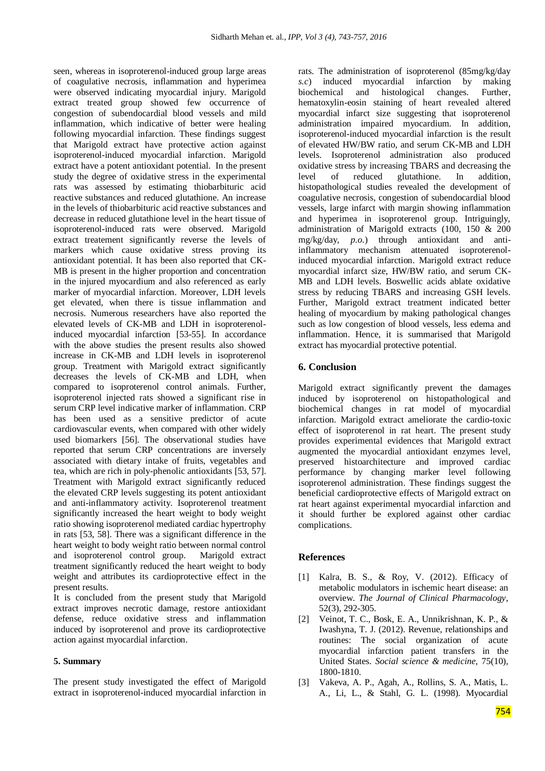seen, whereas in isoproterenol-induced group large areas of coagulative necrosis, inflammation and hyperimea were observed indicating myocardial injury. Marigold extract treated group showed few occurrence of congestion of subendocardial blood vessels and mild inflammation, which indicative of better were healing following myocardial infarction. These findings suggest that Marigold extract have protective action against isoproterenol-induced myocardial infarction. Marigold extract have a potent antioxidant potential. In the present study the degree of oxidative stress in the experimental rats was assessed by estimating thiobarbituric acid reactive substances and reduced glutathione. An increase in the levels of thiobarbituric acid reactive substances and decrease in reduced glutathione level in the heart tissue of isoproterenol-induced rats were observed. Marigold extract treatement significantly reverse the levels of markers which cause oxidative stress proving its antioxidant potential. It has been also reported that CK-MB is present in the higher proportion and concentration in the injured myocardium and also referenced as early marker of myocardial infarction. Moreover, LDH levels get elevated, when there is tissue inflammation and necrosis. Numerous researchers have also reported the elevated levels of CK-MB and LDH in isoproterenolinduced myocardial infarction [53-55]. In accordance with the above studies the present results also showed increase in CK-MB and LDH levels in isoproterenol group. Treatment with Marigold extract significantly decreases the levels of CK-MB and LDH, when compared to isoproterenol control animals. Further, isoproterenol injected rats showed a significant rise in serum CRP level indicative marker of inflammation. CRP has been used as a sensitive predictor of acute cardiovascular events, when compared with other widely used biomarkers [56]. The observational studies have reported that serum CRP concentrations are inversely associated with dietary intake of fruits, vegetables and tea, which are rich in poly-phenolic antioxidants [53, 57]. Treatment with Marigold extract significantly reduced the elevated CRP levels suggesting its potent antioxidant and anti-inflammatory activity. Isoproterenol treatment significantly increased the heart weight to body weight ratio showing isoproterenol mediated cardiac hypertrophy in rats [53, 58]. There was a significant difference in the heart weight to body weight ratio between normal control and isoproterenol control group. Marigold extract treatment significantly reduced the heart weight to body weight and attributes its cardioprotective effect in the present results.

It is concluded from the present study that Marigold extract improves necrotic damage, restore antioxidant defense, reduce oxidative stress and inflammation induced by isoproterenol and prove its cardioprotective action against myocardial infarction.

#### **5. Summary**

The present study investigated the effect of Marigold extract in isoproterenol-induced myocardial infarction in rats. The administration of isoproterenol (85mg/kg/day *s.c*) induced myocardial infarction by making biochemical and histological changes. Further, hematoxylin-eosin staining of heart revealed altered myocardial infarct size suggesting that isoproterenol administration impaired myocardium. In addition, isoproterenol-induced myocardial infarction is the result of elevated HW/BW ratio, and serum CK-MB and LDH levels. Isoproterenol administration also produced oxidative stress by increasing TBARS and decreasing the level of reduced glutathione. In addition, histopathological studies revealed the development of coagulative necrosis, congestion of subendocardial blood vessels, large infarct with margin showing inflammation and hyperimea in isoproterenol group. Intriguingly, administration of Marigold extracts (100, 150 & 200 mg/kg/day, *p.o.*) through antioxidant and antiinflammatory mechanism attenuated isoproterenolinduced myocardial infarction. Marigold extract reduce myocardial infarct size, HW/BW ratio, and serum CK-MB and LDH levels. Boswellic acids ablate oxidative stress by reducing TBARS and increasing GSH levels. Further, Marigold extract treatment indicated better healing of myocardium by making pathological changes such as low congestion of blood vessels, less edema and inflammation. Hence, it is summarised that Marigold extract has myocardial protective potential.

#### **6. Conclusion**

Marigold extract significantly prevent the damages induced by isoproterenol on histopathological and biochemical changes in rat model of myocardial infarction. Marigold extract ameliorate the cardio-toxic effect of isoproterenol in rat heart. The present study provides experimental evidences that Marigold extract augmented the myocardial antioxidant enzymes level, preserved histoarchitecture and improved cardiac performance by changing marker level following isoproterenol administration. These findings suggest the beneficial cardioprotective effects of Marigold extract on rat heart against experimental myocardial infarction and it should further be explored against other cardiac complications.

#### **References**

- [1] Kalra, B. S., & Roy, V. (2012). Efficacy of metabolic modulators in ischemic heart disease: an overview. *The Journal of Clinical Pharmacology*, 52(3), 292-305.
- [2] Veinot, T. C., Bosk, E. A., Unnikrishnan, K. P., & Iwashyna, T. J. (2012). Revenue, relationships and routines: The social organization of acute myocardial infarction patient transfers in the United States. *Social science & medicine,* 75(10), 1800-1810.
- [3] Vakeva, A. P., Agah, A., Rollins, S. A., Matis, L. A., Li, L., & Stahl, G. L. (1998). Myocardial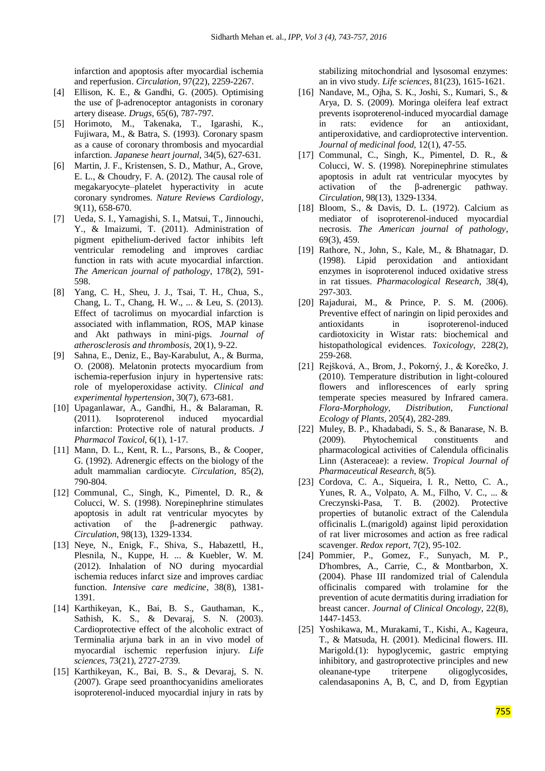infarction and apoptosis after myocardial ischemia and reperfusion. *Circulation,* 97(22), 2259-2267.

- [4] Ellison, K. E., & Gandhi, G. (2005). Optimising the use of β-adrenoceptor antagonists in coronary artery disease. *Drugs,* 65(6), 787-797.
- [5] Horimoto, M., Takenaka, T., Igarashi, K., Fujiwara, M., & Batra, S. (1993). Coronary spasm as a cause of coronary thrombosis and myocardial infarction. *Japanese heart journal,* 34(5), 627-631.
- [6] Martin, J. F., Kristensen, S. D., Mathur, A., Grove, E. L., & Choudry, F. A. (2012). The causal role of megakaryocyte–platelet hyperactivity in acute coronary syndromes. *Nature Reviews Cardiology*, 9(11), 658-670.
- [7] Ueda, S. I., Yamagishi, S. I., Matsui, T., Jinnouchi, Y., & Imaizumi, T. (2011). Administration of pigment epithelium-derived factor inhibits left ventricular remodeling and improves cardiac function in rats with acute myocardial infarction. *The American journal of pathology*, 178(2), 591- 598.
- [8] Yang, C. H., Sheu, J. J., Tsai, T. H., Chua, S., Chang, L. T., Chang, H. W., ... & Leu, S. (2013). Effect of tacrolimus on myocardial infarction is associated with inflammation, ROS, MAP kinase and Akt pathways in mini-pigs. *Journal of atherosclerosis and thrombosis,* 20(1), 9-22.
- [9] Sahna, E., Deniz, E., Bay-Karabulut, A., & Burma, O. (2008). Melatonin protects myocardium from ischemia-reperfusion injury in hypertensive rats: role of myeloperoxidase activity. *Clinical and experimental hypertension*, 30(7), 673-681.
- [10] Upaganlawar, A., Gandhi, H., & Balaraman, R. (2011). Isoproterenol induced myocardial infarction: Protective role of natural products. *J Pharmacol Toxicol,* 6(1), 1-17.
- [11] Mann, D. L., Kent, R. L., Parsons, B., & Cooper, G. (1992). Adrenergic effects on the biology of the adult mammalian cardiocyte. *Circulation*, 85(2), 790-804.
- [12] Communal, C., Singh, K., Pimentel, D. R., & Colucci, W. S. (1998). Norepinephrine stimulates apoptosis in adult rat ventricular myocytes by activation of the β-adrenergic pathway. *Circulation*, 98(13), 1329-1334.
- [13] Neye, N., Enigk, F., Shiva, S., Habazettl, H., Plesnila, N., Kuppe, H. ... & Kuebler, W. M. (2012). Inhalation of NO during myocardial ischemia reduces infarct size and improves cardiac function. *Intensive care medicine*, 38(8), 1381- 1391.
- [14] Karthikeyan, K., Bai, B. S., Gauthaman, K., Sathish, K. S., & Devaraj, S. N. (2003). Cardioprotective effect of the alcoholic extract of Terminalia arjuna bark in an in vivo model of myocardial ischemic reperfusion injury. *Life sciences*, 73(21), 2727-2739.
- [15] Karthikeyan, K., Bai, B. S., & Devaraj, S. N. (2007). Grape seed proanthocyanidins ameliorates isoproterenol-induced myocardial injury in rats by

stabilizing mitochondrial and lysosomal enzymes: an in vivo study. *Life sciences*, 81(23), 1615-1621.

- [16] Nandave, M., Ojha, S. K., Joshi, S., Kumari, S., & Arya, D. S. (2009). Moringa oleifera leaf extract prevents isoproterenol-induced myocardial damage in rats: evidence for an antioxidant, antiperoxidative, and cardioprotective intervention. *Journal of medicinal food,* 12(1), 47-55.
- [17] Communal, C., Singh, K., Pimentel, D. R., & Colucci, W. S. (1998). Norepinephrine stimulates apoptosis in adult rat ventricular myocytes by activation of the β-adrenergic pathway. *Circulation*, 98(13), 1329-1334.
- [18] Bloom, S., & Davis, D. L. (1972). Calcium as mediator of isoproterenol-induced myocardial necrosis. *The American journal of pathology*, 69(3), 459.
- [19] Rathore, N., John, S., Kale, M., & Bhatnagar, D. (1998). Lipid peroxidation and antioxidant enzymes in isoproterenol induced oxidative stress in rat tissues. *Pharmacological Research*, 38(4), 297-303.
- [20] Rajadurai, M., & Prince, P. S. M. (2006). Preventive effect of naringin on lipid peroxides and antioxidants in isoproterenol-induced cardiotoxicity in Wistar rats: biochemical and histopathological evidences. *Toxicology*, 228(2), 259-268.
- [21] Rejšková, A., Brom, J., Pokorný, J., & Korečko, J. (2010). Temperature distribution in light-coloured flowers and inflorescences of early spring temperate species measured by Infrared camera. *Flora-Morphology, Distribution, Functional Ecology of Plants*, 205(4), 282-289.
- [22] Muley, B. P., Khadabadi, S. S., & Banarase, N. B. (2009). Phytochemical constituents and pharmacological activities of Calendula officinalis Linn (Asteraceae): a review. *Tropical Journal of Pharmaceutical Research*, 8(5).
- [23] Cordova, C. A., Siqueira, I. R., Netto, C. A., Yunes, R. A., Volpato, A. M., Filho, V. C., ... & Creczynski-Pasa, T. B. (2002). Protective properties of butanolic extract of the Calendula officinalis L.(marigold) against lipid peroxidation of rat liver microsomes and action as free radical scavenger. *Redox report*, 7(2), 95-102.
- [24] Pommier, P., Gomez, F., Sunyach, M. P., D'hombres, A., Carrie, C., & Montbarbon, X. (2004). Phase III randomized trial of Calendula officinalis compared with trolamine for the prevention of acute dermatitis during irradiation for breast cancer. *Journal of Clinical Oncology*, 22(8), 1447-1453.
- [25] Yoshikawa, M., Murakami, T., Kishi, A., Kageura, T., & Matsuda, H. (2001). Medicinal flowers. III. Marigold.(1): hypoglycemic, gastric emptying inhibitory, and gastroprotective principles and new oleanane-type triterpene oligoglycosides, calendasaponins A, B, C, and D, from Egyptian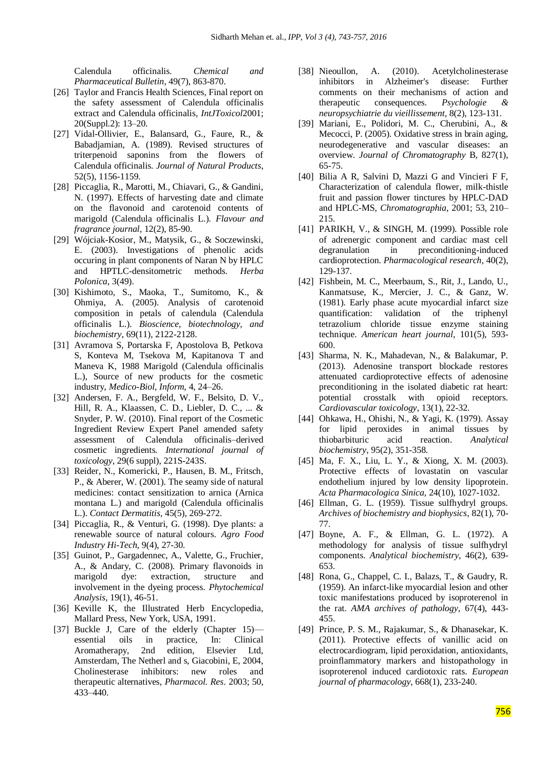Calendula officinalis. *Chemical and Pharmaceutical Bulletin*, 49(7), 863-870.

- [26] Taylor and Francis Health Sciences, Final report on the safety assessment of Calendula officinalis extract and Calendula officinalis, *IntJToxicol*2001; 20(Suppl.2): 13–20.
- [27] Vidal-Ollivier, E., Balansard, G., Faure, R., & Babadjamian, A. (1989). Revised structures of triterpenoid saponins from the flowers of Calendula officinalis. *Journal of Natural Products*, 52(5), 1156-1159.
- [28] Piccaglia, R., Marotti, M., Chiavari, G., & Gandini, N. (1997). Effects of harvesting date and climate on the flavonoid and carotenoid contents of marigold (Calendula officinalis L.). *Flavour and fragrance journal*, 12(2), 85-90.
- [29] Wójciak-Kosior, M., Matysik, G., & Soczewinski, E. (2003). Investigations of phenolic acids occuring in plant components of Naran N by HPLC and HPTLC-densitometric methods. *Herba Polonica*, 3(49).
- [30] Kishimoto, S., Maoka, T., Sumitomo, K., & Ohmiya, A. (2005). Analysis of carotenoid composition in petals of calendula (Calendula officinalis L.). *Bioscience, biotechnology, and biochemistry*, 69(11), 2122-2128.
- [31] Avramova S, Portarska F, Apostolova B, Petkova S, Konteva M, Tsekova M, Kapitanova T and Maneva K, 1988 Marigold (Calendula officinalis L.), Source of new products for the cosmetic industry, *Medico-Biol, Inform*, 4, 24–26.
- [32] Andersen, F. A., Bergfeld, W. F., Belsito, D. V., Hill, R. A., Klaassen, C. D., Liebler, D. C., ... & Snyder, P. W. (2010). Final report of the Cosmetic Ingredient Review Expert Panel amended safety assessment of Calendula officinalis–derived cosmetic ingredients. *International journal of toxicology*, 29(6 suppl), 221S-243S.
- [33] Reider, N., Komericki, P., Hausen, B. M., Fritsch, P., & Aberer, W. (2001). The seamy side of natural medicines: contact sensitization to arnica (Arnica montana L.) and marigold (Calendula officinalis L.). *Contact Dermatitis,* 45(5), 269-272.
- [34] Piccaglia, R., & Venturi, G. (1998). Dye plants: a renewable source of natural colours. *Agro Food Industry Hi-Tech*, 9(4), 27-30.
- [35] Guinot, P., Gargadennec, A., Valette, G., Fruchier, A., & Andary, C. (2008). Primary flavonoids in marigold dye: extraction, structure and involvement in the dyeing process. *Phytochemical Analysis*, 19(1), 46-51.
- [36] Keville K, the Illustrated Herb Encyclopedia, Mallard Press, New York, USA, 1991.
- [37] Buckle J, Care of the elderly (Chapter 15) essential oils in practice, In: Clinical Aromatherapy, 2nd edition, Elsevier Ltd, Amsterdam, The Netherl and s, Giacobini, E, 2004, Cholinesterase inhibitors: new roles and therapeutic alternatives, *Pharmacol. Res*. 2003; 50, 433–440.
- [38] Nieoullon, A. (2010). Acetylcholinesterase inhibitors in Alzheimer's disease: Further comments on their mechanisms of action and therapeutic consequences. *Psychologie & neuropsychiatrie du vieillissement*, 8(2), 123-131.
- [39] Mariani, E., Polidori, M. C., Cherubini, A., & Mecocci, P. (2005). Oxidative stress in brain aging, neurodegenerative and vascular diseases: an overview. *Journal of Chromatography* B, 827(1), 65-75.
- [40] Bilia A R, Salvini D, Mazzi G and Vincieri F F, Characterization of calendula flower, milk-thistle fruit and passion flower tinctures by HPLC-DAD and HPLC-MS, *Chromatographia*, 2001; 53, 210– 215.
- [41] PARIKH, V., & SINGH, M. (1999). Possible role of adrenergic component and cardiac mast cell degranulation in preconditioning-induced cardioprotection. *Pharmacological research*, 40(2), 129-137.
- [42] Fishbein, M. C., Meerbaum, S., Rit, J., Lando, U., Kanmatsuse, K., Mercier, J. C., & Ganz, W. (1981). Early phase acute myocardial infarct size quantification: validation of the triphenyl tetrazolium chloride tissue enzyme staining technique. *American heart journal*, 101(5), 593- 600.
- [43] Sharma, N. K., Mahadevan, N., & Balakumar, P. (2013). Adenosine transport blockade restores attenuated cardioprotective effects of adenosine preconditioning in the isolated diabetic rat heart: potential crosstalk with opioid receptors. *Cardiovascular toxicology*, 13(1), 22-32.
- [44] Ohkawa, H., Ohishi, N., & Yagi, K. (1979). Assay for lipid peroxides in animal tissues by thiobarbituric acid reaction. *Analytical biochemistry*, 95(2), 351-358.
- [45] Ma, F. X., Liu, L. Y., & Xiong, X. M. (2003). Protective effects of lovastatin on vascular endothelium injured by low density lipoprotein. *Acta Pharmacologica Sinica,* 24(10), 1027-1032.
- [46] Ellman, G. L. (1959). Tissue sulfhydryl groups. *Archives of biochemistry and biophysics*, 82(1), 70- 77.
- [47] Boyne, A. F., & Ellman, G. L. (1972). A methodology for analysis of tissue sulfhydryl components. *Analytical biochemistry*, 46(2), 639- 653.
- [48] Rona, G., Chappel, C. I., Balazs, T., & Gaudry, R. (1959). An infarct-like myocardial lesion and other toxic manifestations produced by isoproterenol in the rat. *AMA archives of pathology*, 67(4), 443- 455.
- [49] Prince, P. S. M., Rajakumar, S., & Dhanasekar, K. (2011). Protective effects of vanillic acid on electrocardiogram, lipid peroxidation, antioxidants, proinflammatory markers and histopathology in isoproterenol induced cardiotoxic rats. *European journal of pharmacology*, 668(1), 233-240.